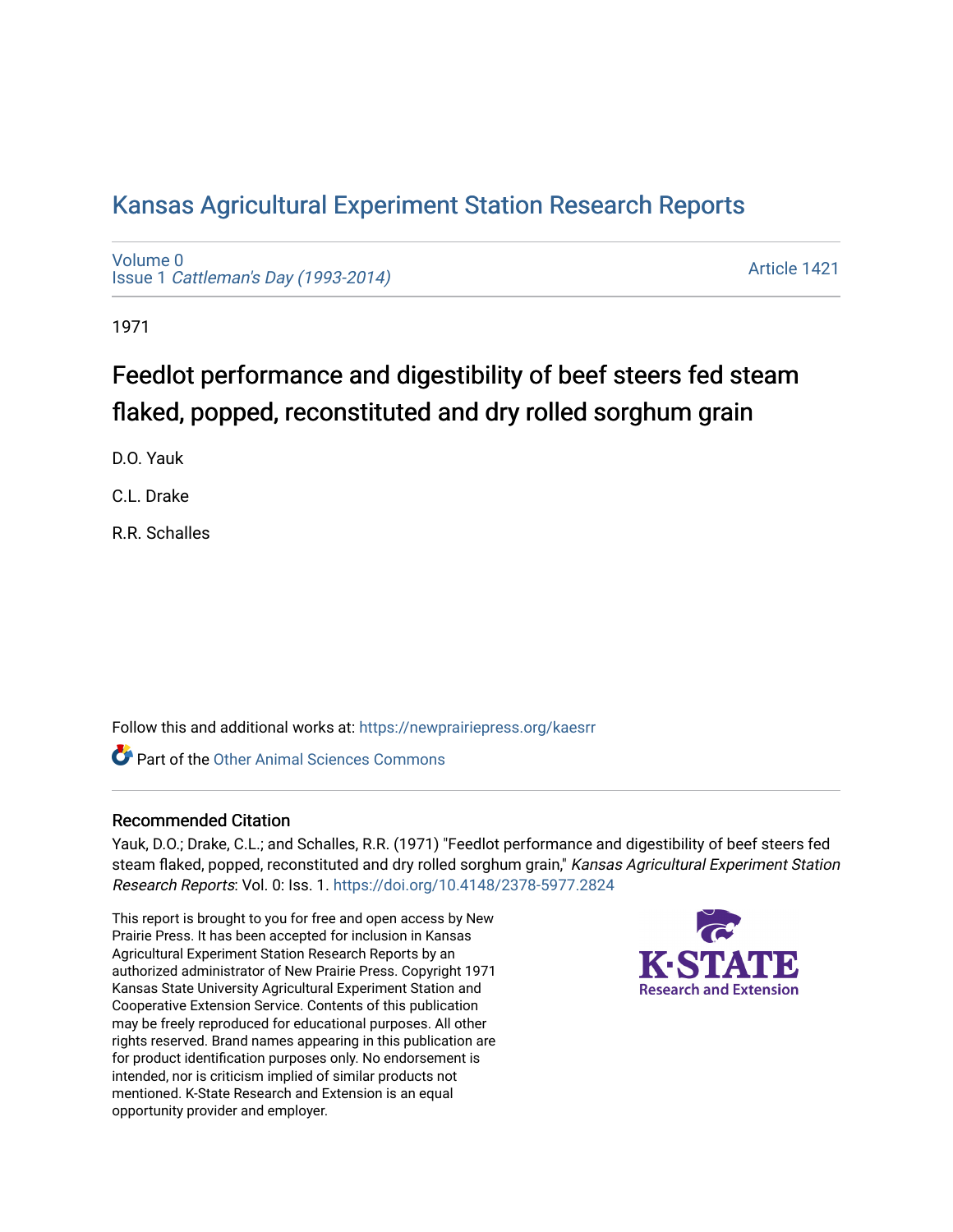## [Kansas Agricultural Experiment Station Research Reports](https://newprairiepress.org/kaesrr)

[Volume 0](https://newprairiepress.org/kaesrr/vol0) Issue 1 [Cattleman's Day \(1993-2014\)](https://newprairiepress.org/kaesrr/vol0/iss1) 

[Article 1421](https://newprairiepress.org/kaesrr/vol0/iss1/1421) 

1971

# Feedlot performance and digestibility of beef steers fed steam flaked, popped, reconstituted and dry rolled sorghum grain

D.O. Yauk

C.L. Drake

R.R. Schalles

Follow this and additional works at: [https://newprairiepress.org/kaesrr](https://newprairiepress.org/kaesrr?utm_source=newprairiepress.org%2Fkaesrr%2Fvol0%2Fiss1%2F1421&utm_medium=PDF&utm_campaign=PDFCoverPages) 

**C** Part of the [Other Animal Sciences Commons](http://network.bepress.com/hgg/discipline/82?utm_source=newprairiepress.org%2Fkaesrr%2Fvol0%2Fiss1%2F1421&utm_medium=PDF&utm_campaign=PDFCoverPages)

#### Recommended Citation

Yauk, D.O.; Drake, C.L.; and Schalles, R.R. (1971) "Feedlot performance and digestibility of beef steers fed steam flaked, popped, reconstituted and dry rolled sorghum grain," Kansas Agricultural Experiment Station Research Reports: Vol. 0: Iss. 1.<https://doi.org/10.4148/2378-5977.2824>

This report is brought to you for free and open access by New Prairie Press. It has been accepted for inclusion in Kansas Agricultural Experiment Station Research Reports by an authorized administrator of New Prairie Press. Copyright 1971 Kansas State University Agricultural Experiment Station and Cooperative Extension Service. Contents of this publication may be freely reproduced for educational purposes. All other rights reserved. Brand names appearing in this publication are for product identification purposes only. No endorsement is intended, nor is criticism implied of similar products not mentioned. K-State Research and Extension is an equal opportunity provider and employer.

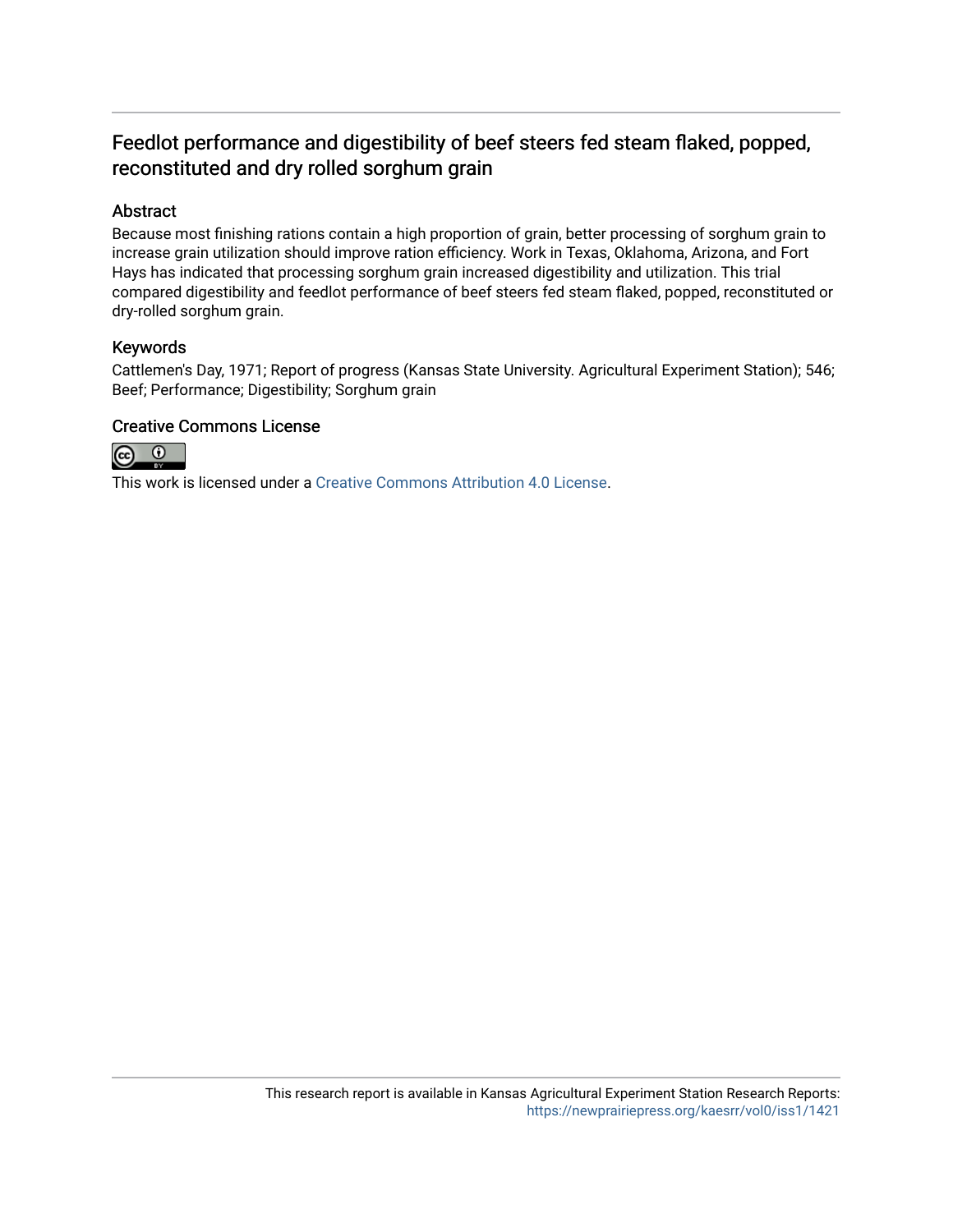## Feedlot performance and digestibility of beef steers fed steam flaked, popped, reconstituted and dry rolled sorghum grain

#### Abstract

Because most finishing rations contain a high proportion of grain, better processing of sorghum grain to increase grain utilization should improve ration efficiency. Work in Texas, Oklahoma, Arizona, and Fort Hays has indicated that processing sorghum grain increased digestibility and utilization. This trial compared digestibility and feedlot performance of beef steers fed steam flaked, popped, reconstituted or dry-rolled sorghum grain.

#### Keywords

Cattlemen's Day, 1971; Report of progress (Kansas State University. Agricultural Experiment Station); 546; Beef; Performance; Digestibility; Sorghum grain

#### Creative Commons License



This work is licensed under a [Creative Commons Attribution 4.0 License](https://creativecommons.org/licenses/by/4.0/).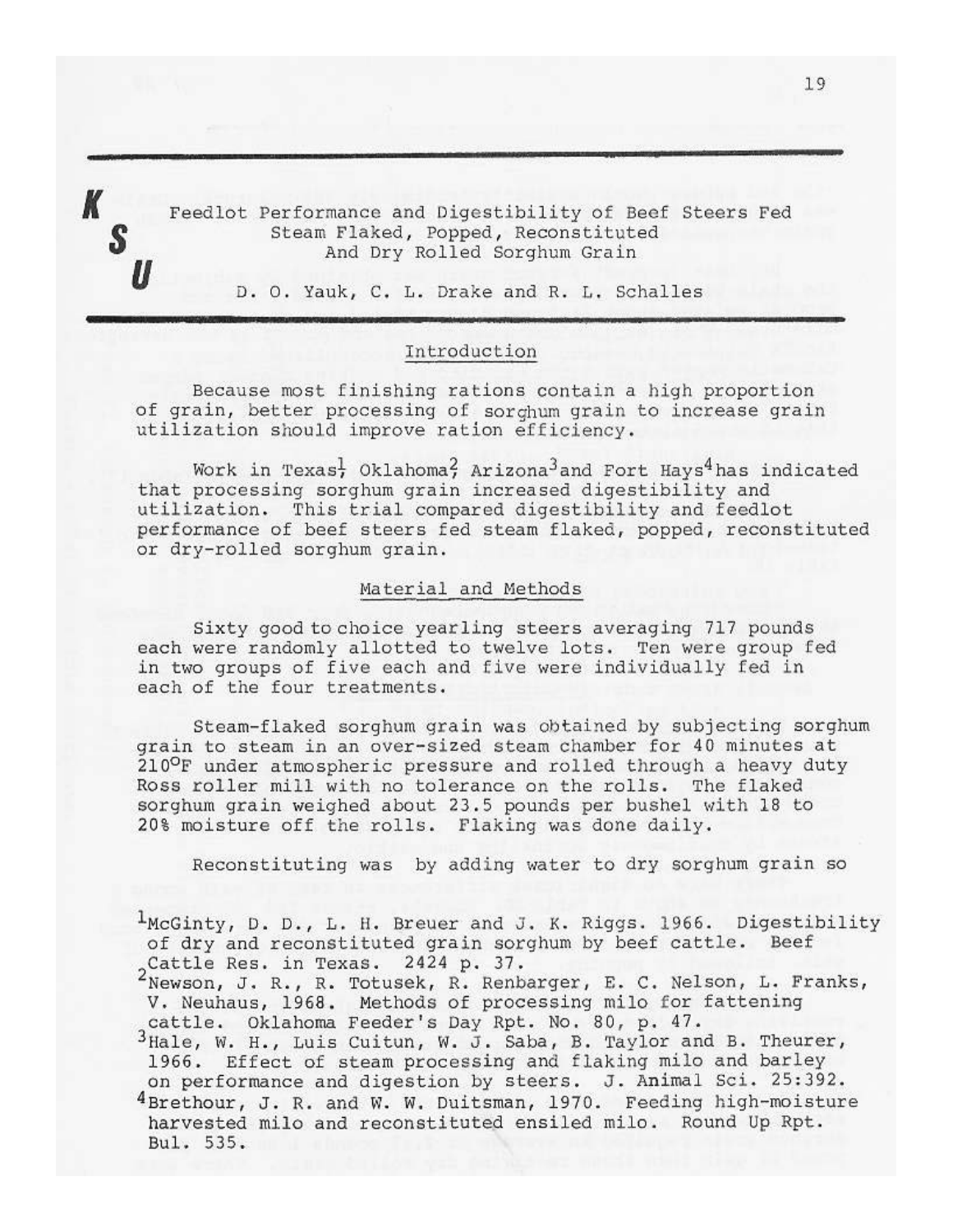Feedlot Performance and Digestibility of Beef Steers Fed Steam Flaked, Popped, Reconstituted And Dry Rolled Sorghum Grain

D. O. Yauk, C. L. Drake and R. L. Schalles

#### Introduction

Because most finishing rations contain a high proportion of grain, better processing of sorghum grain to increase grain utilization should improve ration efficiency.

Work in Texas<sup>1</sup>, Oklahoma<sup>2</sup>, Arizona<sup>3</sup> and Fort Hays<sup>4</sup> has indicated that processing sorghum grain increased digestibility and utilization. This trial compared digestibility and feedlot performance of beef steers fed steam flaked, popped, reconstituted or dry-rolled sorghum grain.

#### Material and Methods

Sixty good to choice yearling steers averaging 717 pounds each were randomly allotted to twelve lots. Ten were group fed in two groups of five each and five were individually fed in each of the four treatments.

Steam-flaked sorghum grain was obtained by subjecting sorghum grain to steam in an over-sized steam chamber for 40 minutes at 210°F under atmospheric pressure and rolled through a heavy duty Ross roller mill with no tolerance on the rolls. The flaked sorghum grain weighed about 23.5 pounds per bushel with 18 to 20% moisture off the rolls. Flaking was done daily.

Reconstituting was by adding water to dry sorghum grain so

<sup>1</sup>McGinty, D. D., L. H. Breuer and J. K. Riggs. 1966. Digestibility of dry and reconstituted grain sorghum by beef cattle. Beef 2Cattle Res. in Texas. 2424 p. 37.<br><sup>2</sup>Newson, J. R., R. Totusek, R. Renbarger, E. C. Nelson, L. Franks,

V. Neuhaus, 1968. Methods of processing milo for fattening cattle. Oklahoma Feeder's Day Rpt. No. 80, p. 47.

3Hale, W. H., Luis Cuitun, W. J. Saba, B. Taylor and B. Theurer, 1966. Effect of steam processing and flaking milo and barley on performance and digestion by steers. J. Animal Sci. 25:392. 4Brethour, J. R. and W. W. Duitsman, 1970. Feeding high-moisture harvested milo and reconstituted ensiled milo. Round Up Rpt. Bul. 535.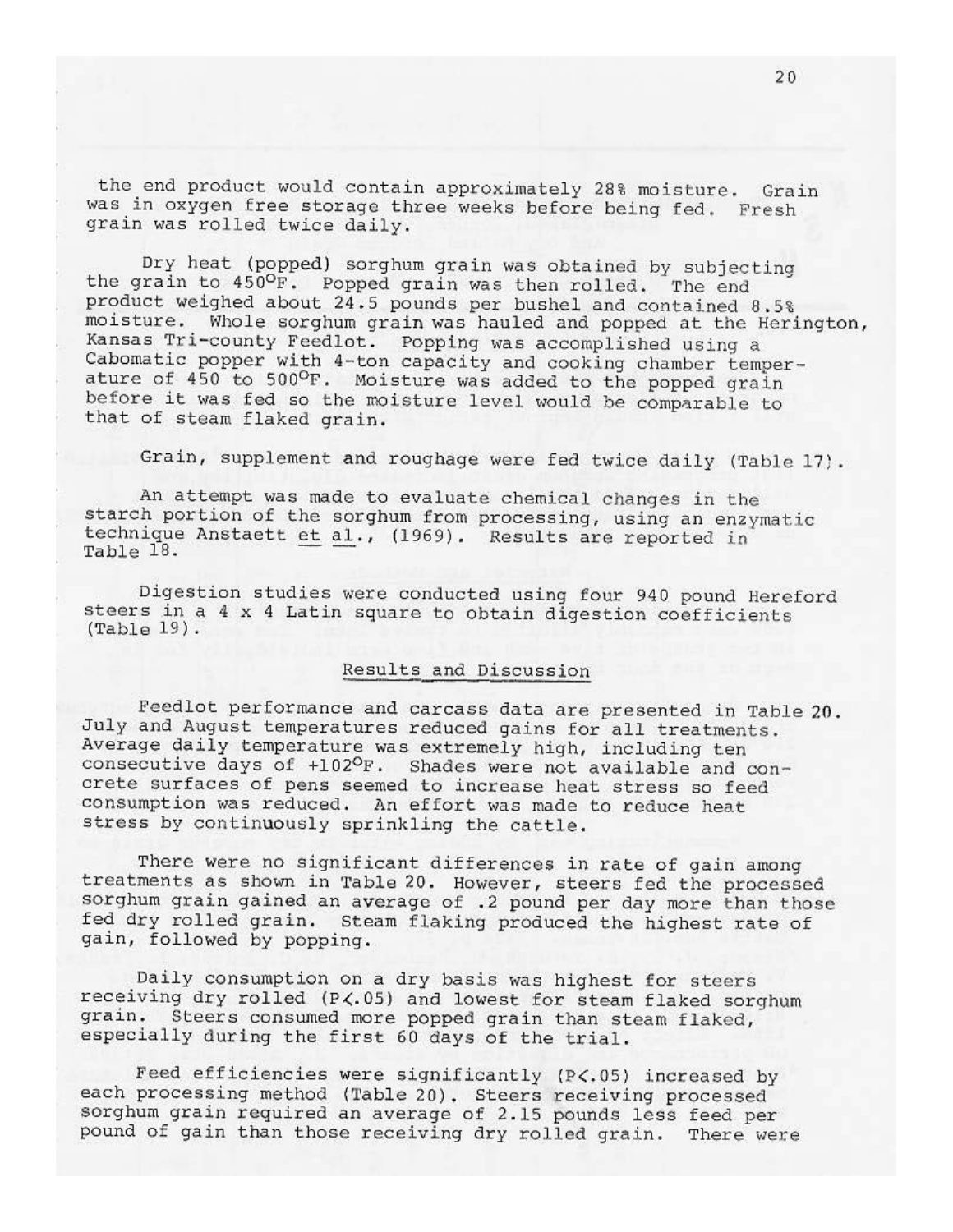the end product would contain approximately 28% moisture. Grain was in oxygen free storage three weeks before being fed. Fresh grain was rolled twice daily.

Dry heat (popped) sorghum grain was obtained by subjecting the grain to 450°F. Popped grain was then rolled. The end product weighed about 24.5 pounds per bushel and contained 8.5% moisture. Whole sorghum grain was hauled and popped at the Herington, Kansas Tri-county Feedlot. Popping was accomplished using a Cabomatic popper with 4-ton capacity and cooking chamber temperature of 450 to 500°F. Moisture was added to the popped grain before it was fed so the moisture level would be comparable to that of steam flaked grain.

Grain, supplement and roughage were fed twice daily (Table 17).

An attempt was made to evaluate chemical changes in the starch portion of the sorghum from processing, using an enzymatic technique Anstaett et al., (1969). Results are reported in  $Table 18.$ 

Digestion studies were conducted using four 940 pound Hereford steers in a 4 x 4 Latin square to obtain digestion coefficients  $(Table 19)$ .

#### Results and Discussion

Feedlot performance and carcass data are presented in Table 20. July and August temperatures reduced gains for all treatments. Average daily temperature was extremely high, including ten consecutive days of +102°F. Shades were not available and concrete surfaces of pens seemed to increase heat stress so feed consumption was reduced. An effort was made to reduce heat stress by continuously sprinkling the cattle.

There were no significant differences in rate of gain among treatments as shown in Table 20. However, steers fed the processed sorghum grain gained an average of .2 pound per day more than those fed dry rolled grain. Steam flaking produced the highest rate of gain, followed by popping.

Daily consumption on a dry basis was highest for steers receiving dry rolled (P<.05) and lowest for steam flaked sorghum grain. Steers consumed more popped grain than steam flaked, especially during the first 60 days of the trial.

Feed efficiencies were significantly (P<.05) increased by each processing method (Table 20). Steers receiving processed sorghum grain required an average of 2.15 pounds less feed per pound of gain than those receiving dry rolled grain. There were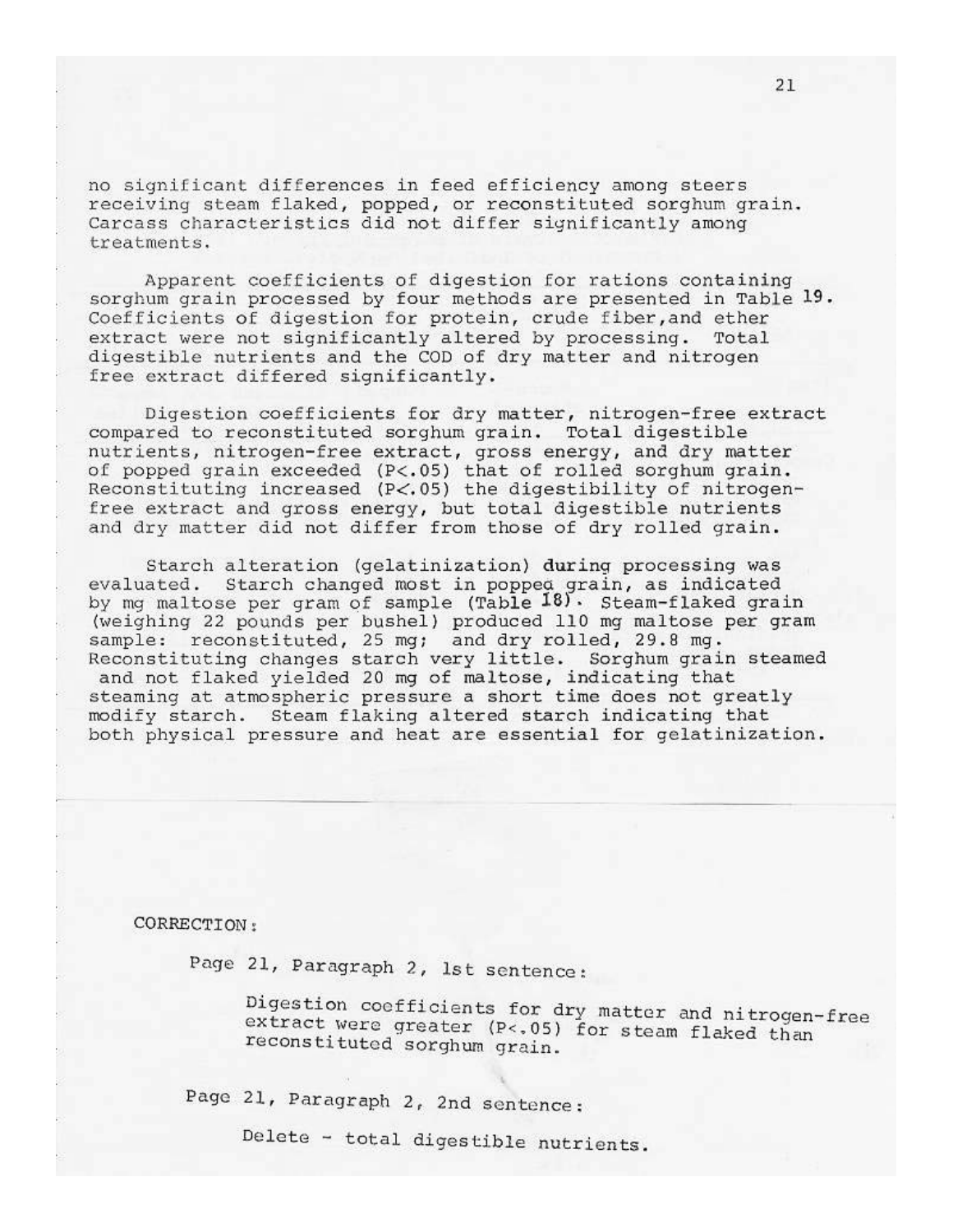no significant differences in feed efficiency among steers receiving steam flaked, popped, or reconstituted sorghum grain. Carcass characteristics did not differ significantly among treatments.

Apparent coefficients of digestion for rations containing sorghum grain processed by four methods are presented in Table 19. Coefficients of digestion for protein, crude fiber, and ether extract were not significantly altered by processing. Total digestible nutrients and the COD of dry matter and nitrogen free extract differed significantly.

Digestion coefficients for dry matter, nitrogen-free extract compared to reconstituted sorghum grain. Total digestible nutrients, nitrogen-free extract, gross energy, and dry matter of popped grain exceeded (P<.05) that of rolled sorghum grain. Reconstituting increased (P<.05) the digestibility of nitrogenfree extract and gross energy, but total digestible nutrients and dry matter did not differ from those of dry rolled grain.

Starch alteration (gelatinization) during processing was evaluated. Starch changed most in popped grain, as indicated by mg maltose per gram of sample (Table 18). Steam-flaked grain (weighing 22 pounds per bushel) produced 110 mg maltose per gram sample: reconstituted, 25 mg; and dry rolled, 29.8 mg. Reconstituting changes starch very little. Sorghum grain steamed and not flaked yielded 20 mg of maltose, indicating that steaming at atmospheric pressure a short time does not greatly modify starch. Steam flaking altered starch indicating that both physical pressure and heat are essential for gelatinization.

CORRECTION:

Page 21, Paragraph 2, 1st sentence:

Digestion coefficients for dry matter and nitrogen-free extract were greater (P<.05) for steam flaked than reconstituted sorghum grain.

Page 21, Paragraph 2, 2nd sentence:

Delete - total digestible nutrients.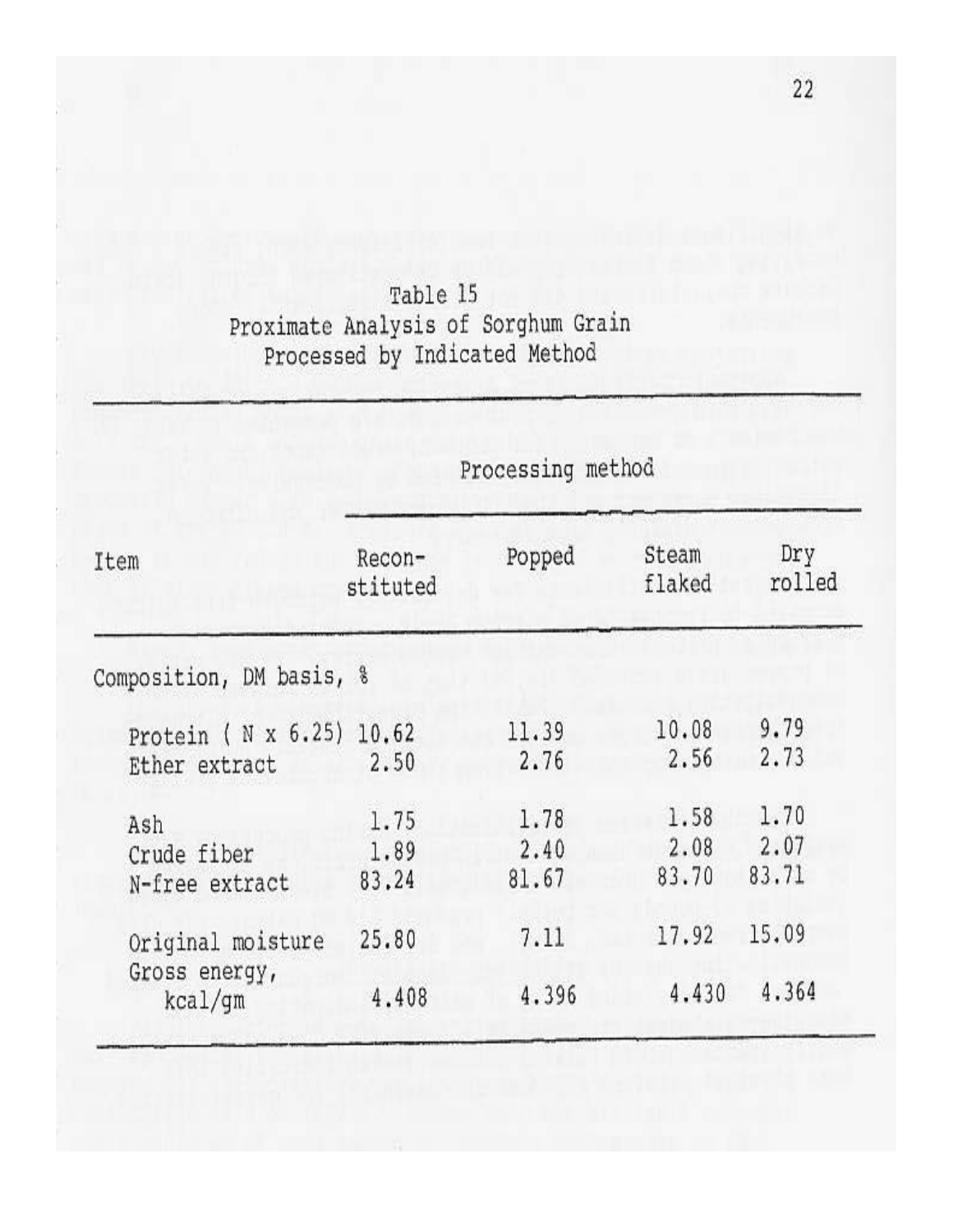Table 15 Proximate Analysis of Sorghum Grain<br>Processed by Indicated Method

|                                               | Processing method     |                       |                       |                       |
|-----------------------------------------------|-----------------------|-----------------------|-----------------------|-----------------------|
| Item                                          | Recon-<br>stituted    | Popped                | Steam<br>flaked       | Dry<br>rolled         |
| Composition, DM basis, %                      |                       |                       |                       |                       |
| Protein ( $N \times 6.25$ )<br>Ether extract  | 10.62<br>2.50         | 11.39<br>2.76         | 10.08<br>2.56         | 9.79<br>2.73          |
| Ash<br>Crude fiber<br>N-free extract          | 1.75<br>1.89<br>83.24 | 1.78<br>2.40<br>81.67 | 1.58<br>2.08<br>83.70 | 1.70<br>2.07<br>83.71 |
| Original moisture<br>Gross energy,<br>kcal/gm | 25.80<br>4.408        | 7.11<br>4.396         | 17.92<br>4.430        | 15.09<br>4.364        |

 $22$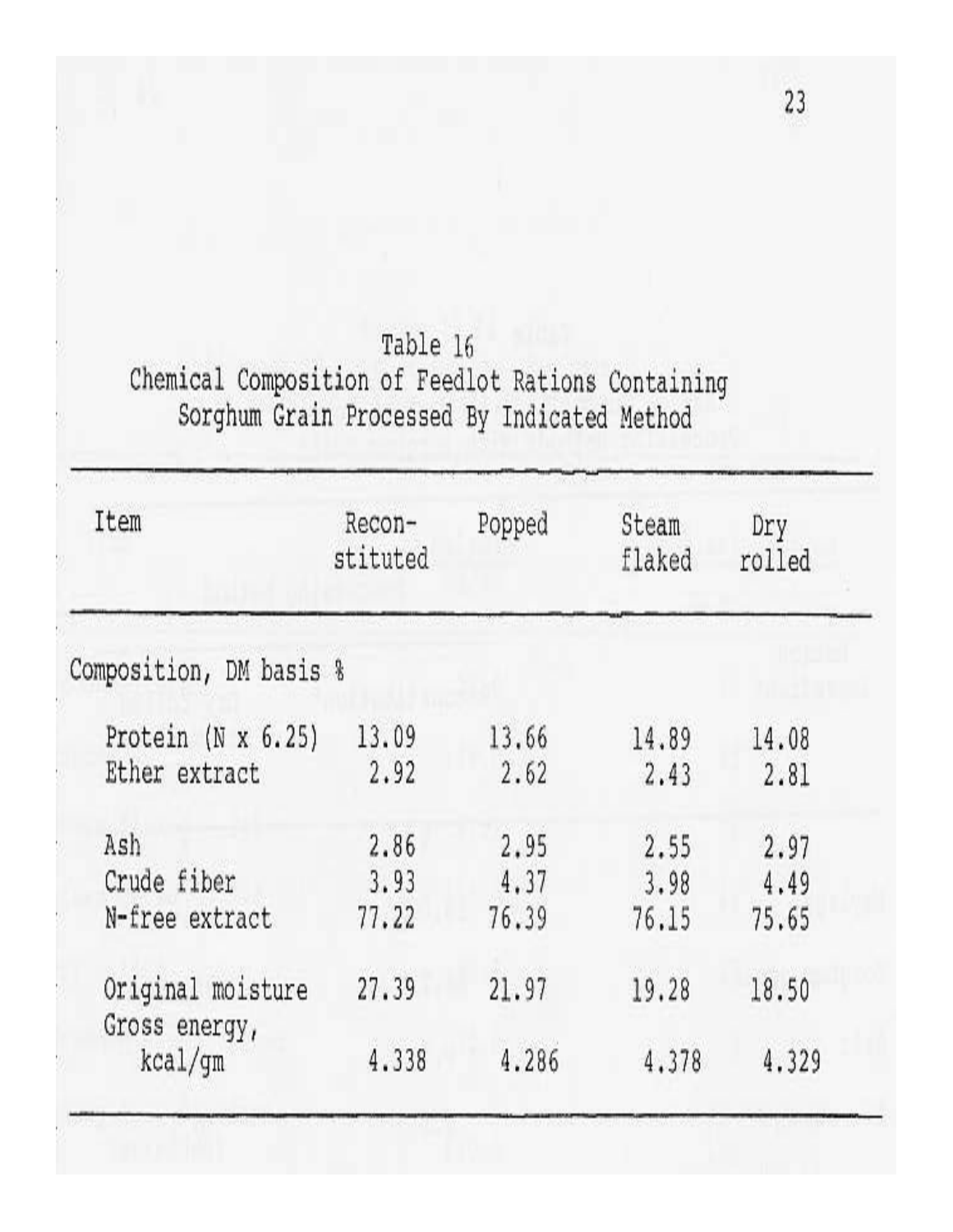Table 16 Chemical Composition of Feedlot Rations Containing<br>Sorghum Grain Processed By Indicated Method

| Recon-                  | Popped | Steam  | Dry                     |
|-------------------------|--------|--------|-------------------------|
| stituted                |        | flaked | rolled                  |
| Composition, DM basis % |        |        |                         |
| 13.09                   | 13.66  | 14.89  | 14.08                   |
| 2.92                    | 2.62   | 2,43   | 2.81                    |
| 2.86                    | 2.95   | 2.55   | 2.97                    |
| 3.93                    | 4.37   | 3.98   | 4.49                    |
| 77.22                   | 76.39  | 76.15  | 75.65                   |
| 27.39                   | 21.97  | 19.28  | 18.50<br>4.329          |
|                         |        |        | 4.338<br>4.286<br>4.378 |

23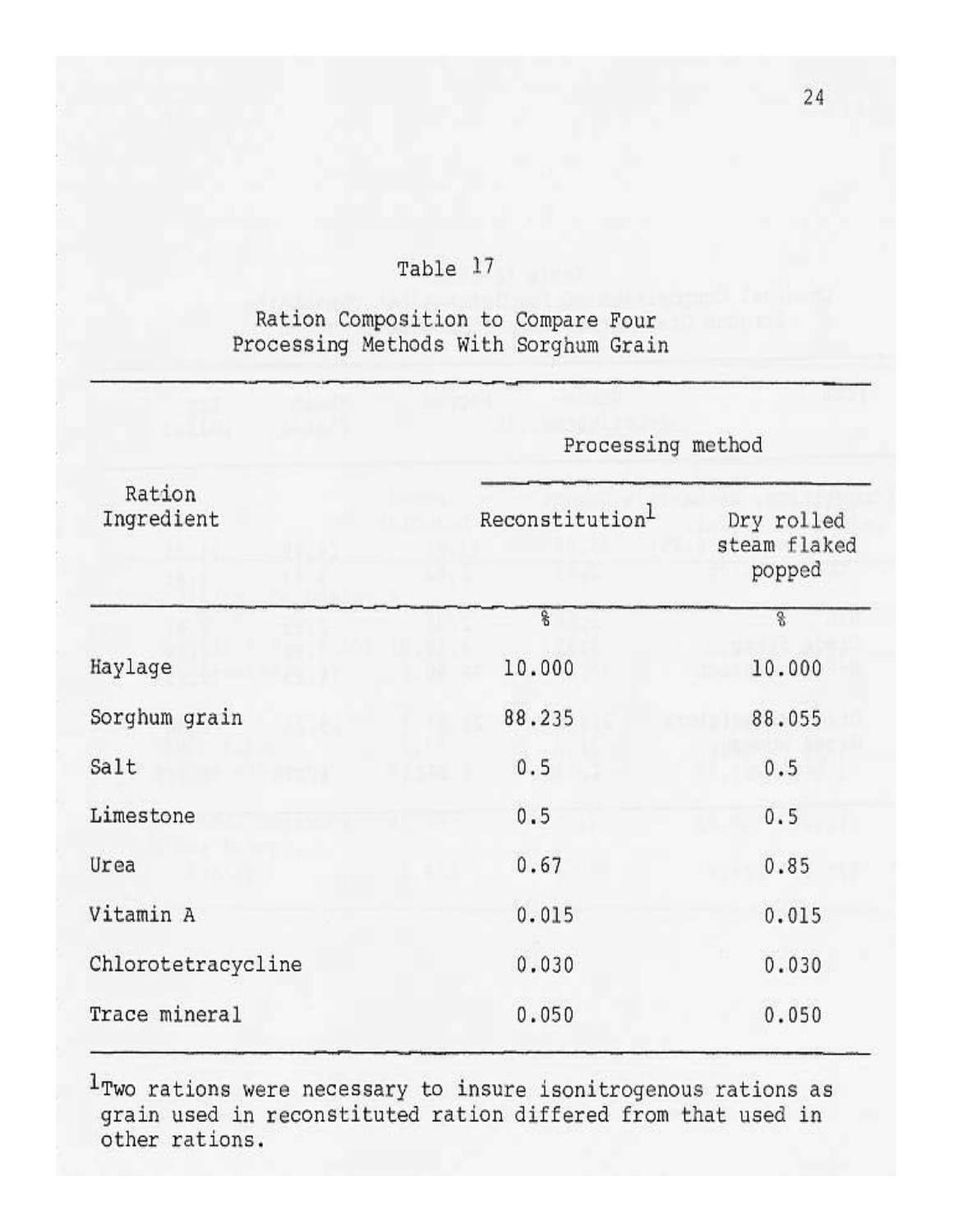## Table 17

## Ration Composition to Compare Four Processing Methods With Sorghum Grain

|                      | Processing method        |                                      |  |  |
|----------------------|--------------------------|--------------------------------------|--|--|
| Ration<br>Ingredient | Reconstitution           | Dry rolled<br>steam flaked<br>popped |  |  |
|                      | $\overline{\mathcal{E}}$ | 8                                    |  |  |
| Haylage              | 10.000                   | 10.000                               |  |  |
| Sorghum grain        | 88.235                   | 88.055                               |  |  |
| Salt                 | 0.5                      | 0.5                                  |  |  |
| Limestone            | 0.5                      | 0.5                                  |  |  |
| Urea                 | 0.67                     | 0.85                                 |  |  |
| Vitamin A            | 0.015                    | 0.015                                |  |  |
| Chlorotetracycline   | 0.030                    | 0.030                                |  |  |
| Trace mineral        | 0.050                    | 0.050                                |  |  |

1Two rations were necessary to insure isonitrogenous rations as grain used in reconstituted ration differed from that used in other rations.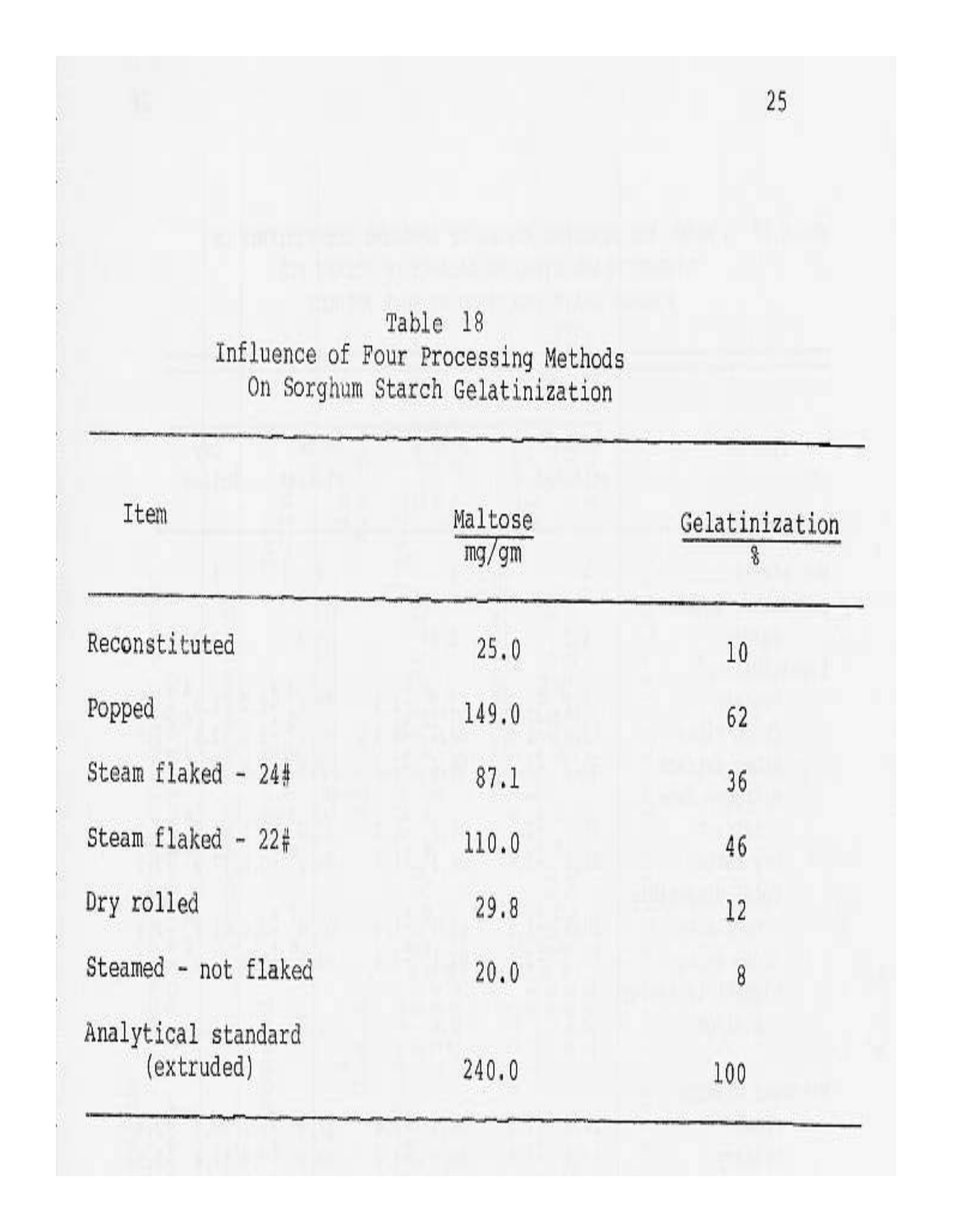Table 18 Influence of Four Processing Methods<br>On Sorghum Starch Gelatinization

| Item                              | Maltose<br>mg/gm | Gelatinization<br>8 |  |
|-----------------------------------|------------------|---------------------|--|
| Reconstituted                     | 25.0             | 10                  |  |
| Popped                            | 149.0            | 62                  |  |
| Steam flaked - 24#                | 87.1             | 36                  |  |
| Steam flaked - $22#$              | 110.0            | 46                  |  |
| Dry rolled                        | 29.8             | 12                  |  |
| Steamed - not flaked              | 20.0             | 8                   |  |
| Analytical standard<br>(extruded) | 240.0            | 100                 |  |

 $25\,$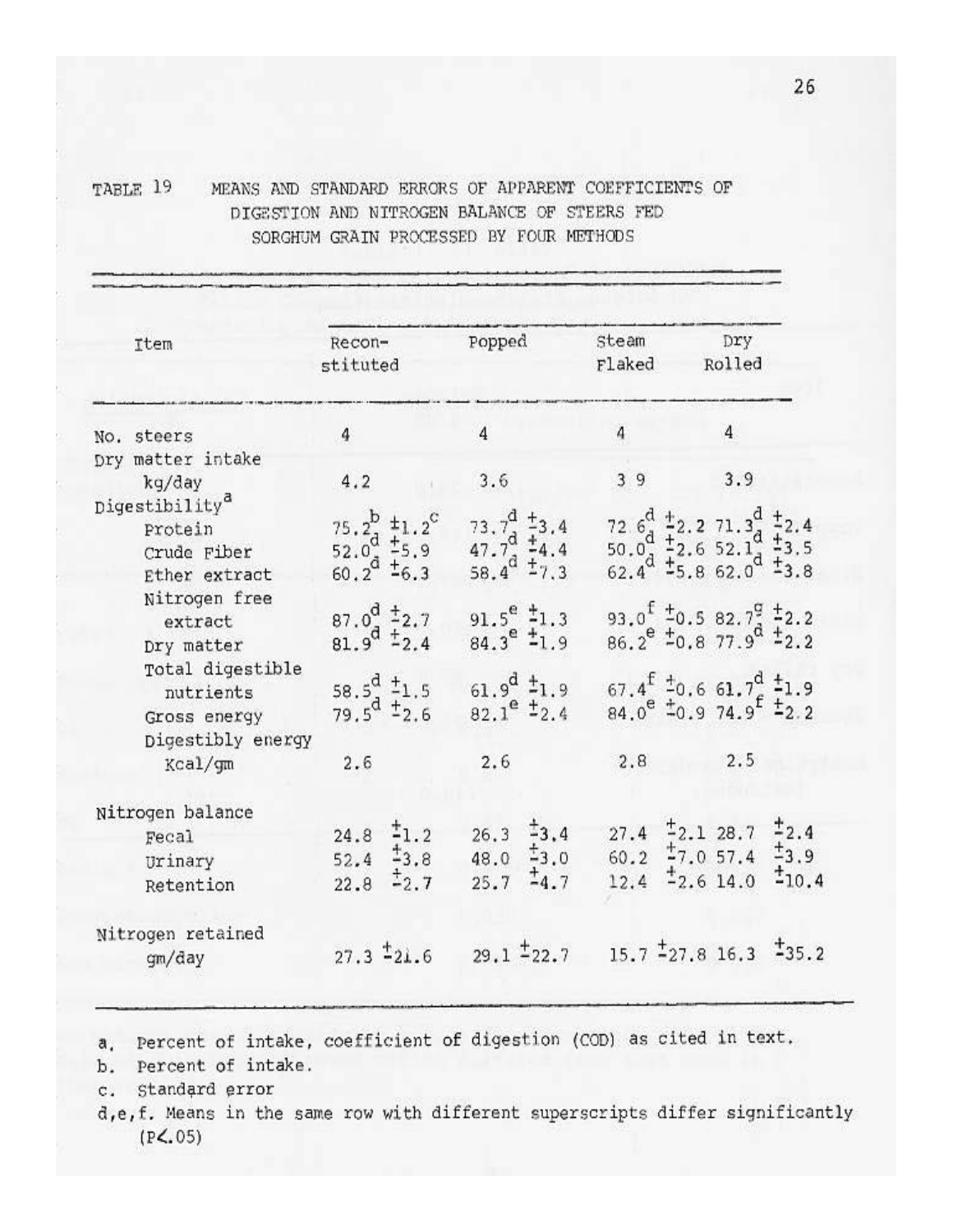TABLE 19 MEANS AND STANDARD ERRORS OF APPARENT COEFFICIENTS OF DIGESTION AND NITROGEN BALANCE OF STEERS FED SORGHUM GRAIN PROCESSED BY FOUR METHODS

| Item                                                                  | Recon-<br>stituted                                                 | Popped                                                                              | Steam<br>Flaked      | Dry<br>Rolled                                                                                                                                                                                                                  |
|-----------------------------------------------------------------------|--------------------------------------------------------------------|-------------------------------------------------------------------------------------|----------------------|--------------------------------------------------------------------------------------------------------------------------------------------------------------------------------------------------------------------------------|
| No. steers                                                            | $\overline{4}$                                                     | $\overline{4}$                                                                      | $\overline{4}$       | $\overline{4}$                                                                                                                                                                                                                 |
| Dry matter intake<br>kg/day                                           | 4.2                                                                | 3.6                                                                                 | 39                   | 3.9                                                                                                                                                                                                                            |
| Digestibility <sup>a</sup><br>Protein<br>Crude Fiber<br>Ether extract | 75.2, $\pm$ 1.2 <sup>C</sup><br>$52.0^d$ $\frac{+5.9}{-6.3}$       | $73.7^{d}$ $\pm 3.4$<br>$47.7^{\circ}$ $4.4^{\circ}$<br>58.4 <sup>d</sup> $\pm$ 7.3 |                      | 72.6 <sup>d</sup> $\frac{1}{2}$ 2.2.71.3 <sup>d</sup> $\frac{1}{2}$ 2.4<br>50.0 <sup>d</sup> $\frac{1}{2}$ 2.6.52.1 <sup>d</sup> $\frac{1}{2}$ 3.5<br>62.4 $\stackrel{+}{\neq}$ 5.8.62.0 <sup>d</sup> $\stackrel{+}{\neq}$ 3.8 |
| Nitrogen free<br>extract<br>Dry matter                                | $87.0^{d}$ $\pm 2.7$<br>81.9 <sup>d</sup> $\frac{1}{2}$ ,4         | $91.5^e$ $\frac{4}{1}$ .3<br>$84.3^e$ $\pm$ 1.9                                     |                      | 93.0 <sup>t</sup> $\pm$ 0.5 82.7 <sup>9</sup> $\pm$ 2.2<br>$86.2^e$ + 0.8 77.9 <sup>0</sup> + 2.2                                                                                                                              |
| Total digestible<br>nutrients<br>Gross energy                         | 58.5 <sup>d</sup> $\frac{1}{2}$ 1.5<br>79.5 <sup>d</sup> $\pm$ 2.6 | 61.9 <sup>d</sup> $\pm$ 1.9<br>$82.1^{\circ}$ $\pm 2.4$                             |                      | $67.4^{\frac{1}{2}}$ $20.6$ $61.7^{\frac{1}{2}}$ $21.9$<br>$84.0^e$ $\pm 0.9$ 74.9 <sup>5</sup> $\pm 2.2$                                                                                                                      |
| Digestibly energy<br>Kcal/gm                                          | 2.6                                                                | 2.6                                                                                 | 2.8                  | 2.5                                                                                                                                                                                                                            |
| Nitrogen balance<br>Fecal<br>Urinary<br>Retention                     | 1.2<br>24.8<br>$\pm$ 3.8<br>52.4<br>$\pm 2.7$<br>22.8              | $\pm$ 3.4<br>26.3<br>$\pm$ 3.0<br>48.0<br>14.7<br>25.7                              | 27.4<br>60.2<br>12.4 | 12.4<br>$-2.128.7$<br>$\pm$ 7.0 57.4<br>1,9<br>$12.6$ 14.0<br>110.4                                                                                                                                                            |
| Nitrogen retained<br>gm/day                                           | $27.3 - 21.6$                                                      | $29.1 - 22.7$                                                                       |                      | $15.7 - 27.8$ 16.3 $-35.2$                                                                                                                                                                                                     |

a. Percent of intake, coefficient of digestion (COD) as cited in text.

b. Percent of intake.

c. Standard error

d,e,f. Means in the same row with different superscripts differ significantly  $(P<.05)$